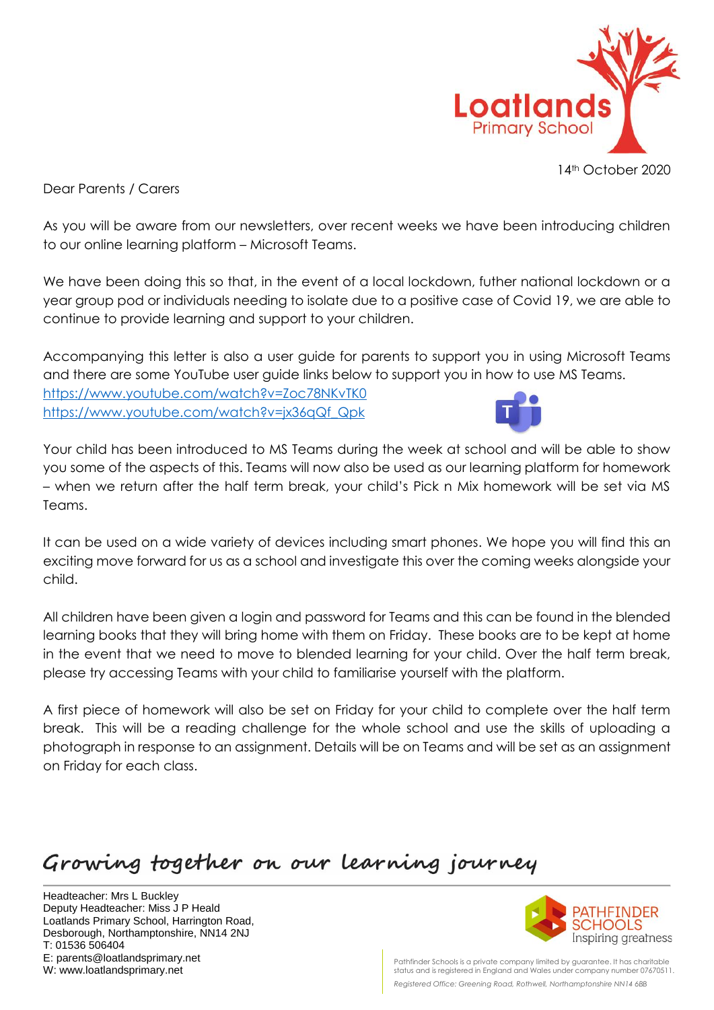

Dear Parents / Carers

As you will be aware from our newsletters, over recent weeks we have been introducing children to our online learning platform – Microsoft Teams.

We have been doing this so that, in the event of a local lockdown, futher national lockdown or a year group pod or individuals needing to isolate due to a positive case of Covid 19, we are able to continue to provide learning and support to your children.

Accompanying this letter is also a user guide for parents to support you in using Microsoft Teams and there are some YouTube user guide links below to support you in how to use MS Teams. <https://www.youtube.com/watch?v=Zoc78NKvTK0>

[https://www.youtube.com/watch?v=jx36qQf\\_Qpk](https://www.youtube.com/watch?v=jx36qQf_Qpk)



Your child has been introduced to MS Teams during the week at school and will be able to show you some of the aspects of this. Teams will now also be used as our learning platform for homework – when we return after the half term break, your child's Pick n Mix homework will be set via MS Teams.

It can be used on a wide variety of devices including smart phones. We hope you will find this an exciting move forward for us as a school and investigate this over the coming weeks alongside your child.

All children have been given a login and password for Teams and this can be found in the blended learning books that they will bring home with them on Friday. These books are to be kept at home in the event that we need to move to blended learning for your child. Over the half term break, please try accessing Teams with your child to familiarise yourself with the platform.

A first piece of homework will also be set on Friday for your child to complete over the half term break. This will be a reading challenge for the whole school and use the skills of uploading a photograph in response to an assignment. Details will be on Teams and will be set as an assignment on Friday for each class.

## Growing together on our learning journey

Headteacher: Mrs L Buckley Deputy Headteacher: Miss J P Heald Loatlands Primary School, Harrington Road, Desborough, Northamptonshire, NN14 2NJ T: 01536 506404 E: parents@loatlandsprimary.net W: www.loatlandsprimary.net



Pathfinder Schools is a private company limited by guarantee. It has charitable status and is registered in England and Wales under company number 07670511. *Registered Office: Greening Road, Rothwell, Northamptonshire NN14 6BB*